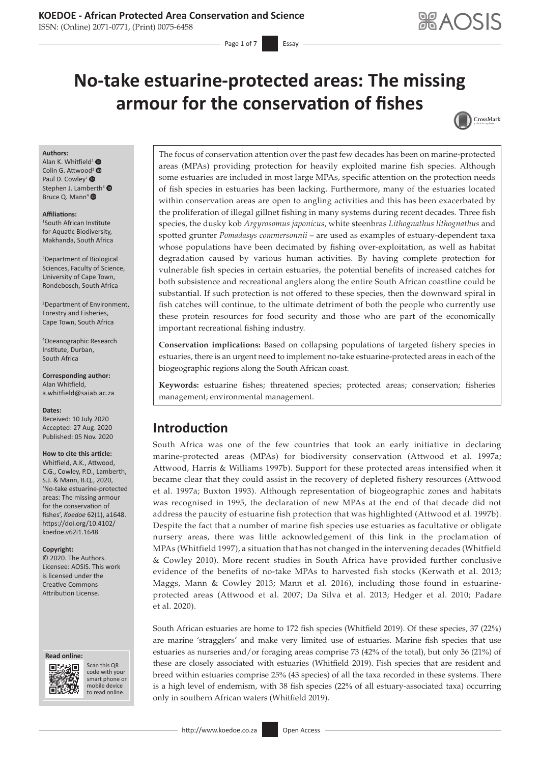### **KOEDOE - African Protected Area Conservation and Science**

ISSN: (Online) 2071-0771, (Print) 0075-6458

Page 1 of 7 **Essay** 

# **No-take estuarine-protected areas: The missing armour for the conservation of fishes**



#### **Authors:**

Alan K. Whitfield<sup>[1](https://orcid.org/0000-0003-1452-7367)</sup>  $\bullet$ Colin G. Attwo[od](https://orcid.org/0000-0003-1246-4390)<sup>2</sup> <sup>®</sup> Paul D. Cowley<sup>1</sup> <sup>®</sup> Stephen J. Lamberth<sup>[3](https://orcid.org/0000-0002-4076-3622)</sup> <sup>®</sup> Bruce Q. Mann<sup>4</sup> <sup>O</sup>

#### **Affiliations:**

1 South African Institute for Aquatic Biodiversity, Makhanda, South Africa

2 Department of Biological Sciences, Faculty of Science, University of Cape Town, Rondebosch, South Africa

3 Department of Environment, Forestry and Fisheries, Cape Town, South Africa

4 Oceanographic Research Institute, Durban, South Africa

**Corresponding author:** Alan Whitfield, [a.whitfield@saiab.ac.za](mailto:a.whitfield@saiab.ac.za)

**Dates:**

Received: 10 July 2020 Accepted: 27 Aug. 2020 Published: 05 Nov. 2020

#### **How to cite this article:**

Whitfield, A.K., Attwood, C.G., Cowley, P.D., Lamberth, S.J. & Mann, B.Q., 2020, 'No-take estuarine-protected areas: The missing armour for the conservation of fishes', *Koedoe* 62(1), a1648. [https://doi.org/10.4102/](https://doi.org/10.4102/koedoe.v62i1.1648) [koedoe.v62i1.1648](https://doi.org/10.4102/koedoe.v62i1.1648)

#### **Copyright:**

© 2020. The Authors. Licensee: AOSIS. This work is licensed under the Creative Commons Attribution License.

#### **Read online: Read online:**



Scan this QR code with your Scan this QR<br>code with your<br>smart phone or<br>mobile device mobile device to read online. to read online.

The focus of conservation attention over the past few decades has been on marine-protected areas (MPAs) providing protection for heavily exploited marine fish species. Although some estuaries are included in most large MPAs, specific attention on the protection needs of fish species in estuaries has been lacking. Furthermore, many of the estuaries located within conservation areas are open to angling activities and this has been exacerbated by the proliferation of illegal gillnet fishing in many systems during recent decades. Three fish species, the dusky kob *Argyrosomus japonicus*, white steenbras *Lithognathus lithognathus* and spotted grunter *Pomadasys commersonnii* – are used as examples of estuary-dependent taxa whose populations have been decimated by fishing over-exploitation, as well as habitat degradation caused by various human activities. By having complete protection for vulnerable fish species in certain estuaries, the potential benefits of increased catches for both subsistence and recreational anglers along the entire South African coastline could be substantial. If such protection is not offered to these species, then the downward spiral in fish catches will continue, to the ultimate detriment of both the people who currently use these protein resources for food security and those who are part of the economically important recreational fishing industry.

**Conservation implications:** Based on collapsing populations of targeted fishery species in estuaries, there is an urgent need to implement no-take estuarine-protected areas in each of the biogeographic regions along the South African coast.

**Keywords:** estuarine fishes; threatened species; protected areas; conservation; fisheries management; environmental management.

## **Introduction**

South Africa was one of the few countries that took an early initiative in declaring marine-protected areas (MPAs) for biodiversity conservation (Attwood et al. 1997a; Attwood, Harris & Williams 1997b). Support for these protected areas intensified when it became clear that they could assist in the recovery of depleted fishery resources (Attwood et al. 1997a; Buxton 1993). Although representation of biogeographic zones and habitats was recognised in 1995, the declaration of new MPAs at the end of that decade did not address the paucity of estuarine fish protection that was highlighted (Attwood et al. 1997b). Despite the fact that a number of marine fish species use estuaries as facultative or obligate nursery areas, there was little acknowledgement of this link in the proclamation of MPAs (Whitfield 1997), a situation that has not changed in the intervening decades (Whitfield & Cowley 2010). More recent studies in South Africa have provided further conclusive evidence of the benefits of no-take MPAs to harvested fish stocks (Kerwath et al. 2013; Maggs, Mann & Cowley 2013; Mann et al. 2016), including those found in estuarineprotected areas (Attwood et al. 2007; Da Silva et al. 2013; Hedger et al. 2010; Padare et al. 2020).

South African estuaries are home to 172 fish species (Whitfield 2019). Of these species, 37 (22%) are marine 'stragglers' and make very limited use of estuaries. Marine fish species that use estuaries as nurseries and/or foraging areas comprise 73 (42% of the total), but only 36 (21%) of these are closely associated with estuaries (Whitfield 2019). Fish species that are resident and breed within estuaries comprise 25% (43 species) of all the taxa recorded in these systems. There is a high level of endemism, with 38 fish species (22% of all estuary-associated taxa) occurring only in southern African waters (Whitfield 2019).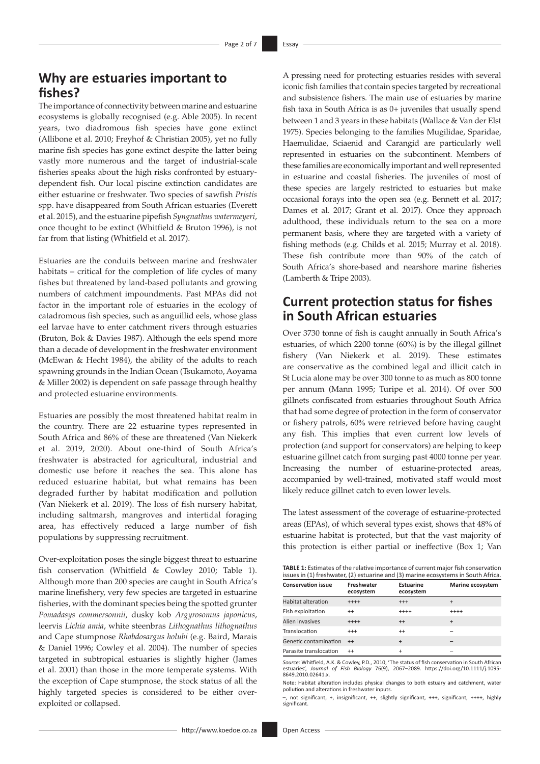## **Why are estuaries important to fishes?**

The importance of connectivity between marine and estuarine ecosystems is globally recognised (e.g. Able 2005). In recent years, two diadromous fish species have gone extinct (Allibone et al. 2010; Freyhof & Christian 2005), yet no fully marine fish species has gone extinct despite the latter being vastly more numerous and the target of industrial-scale fisheries speaks about the high risks confronted by estuarydependent fish. Our local piscine extinction candidates are either estuarine or freshwater. Two species of sawfish *Pristis* spp. have disappeared from South African estuaries (Everett et al. 2015), and the estuarine pipefish *Syngnathus watermeyeri*, once thought to be extinct (Whitfield & Bruton 1996), is not far from that listing (Whitfield et al. 2017).

Estuaries are the conduits between marine and freshwater habitats – critical for the completion of life cycles of many fishes but threatened by land-based pollutants and growing numbers of catchment impoundments. Past MPAs did not factor in the important role of estuaries in the ecology of catadromous fish species, such as anguillid eels, whose glass eel larvae have to enter catchment rivers through estuaries (Bruton, Bok & Davies 1987). Although the eels spend more than a decade of development in the freshwater environment (McEwan & Hecht 1984), the ability of the adults to reach spawning grounds in the Indian Ocean (Tsukamoto, Aoyama & Miller 2002) is dependent on safe passage through healthy and protected estuarine environments.

Estuaries are possibly the most threatened habitat realm in the country. There are 22 estuarine types represented in South Africa and 86% of these are threatened (Van Niekerk et al. 2019, 2020). About one-third of South Africa's freshwater is abstracted for agricultural, industrial and domestic use before it reaches the sea. This alone has reduced estuarine habitat, but what remains has been degraded further by habitat modification and pollution (Van Niekerk et al. 2019). The loss of fish nursery habitat, including saltmarsh, mangroves and intertidal foraging area, has effectively reduced a large number of fish populations by suppressing recruitment.

Over-exploitation poses the single biggest threat to estuarine fish conservation (Whitfield & Cowley 2010; Table 1). Although more than 200 species are caught in South Africa's marine linefishery, very few species are targeted in estuarine fisheries, with the dominant species being the spotted grunter *Pomadasys commersonnii*, dusky kob *Argyrosomus japonicus*, leervis *Lichia amia*, white steenbras *Lithognathus lithognathus* and Cape stumpnose *Rhabdosargus holubi* (e.g. Baird, Marais & Daniel 1996; Cowley et al. 2004). The number of species targeted in subtropical estuaries is slightly higher (James et al. 2001) than those in the more temperate systems. With the exception of Cape stumpnose, the stock status of all the highly targeted species is considered to be either overexploited or collapsed.

A pressing need for protecting estuaries resides with several iconic fish families that contain species targeted by recreational and subsistence fishers. The main use of estuaries by marine fish taxa in South Africa is as 0+ juveniles that usually spend between 1 and 3 years in these habitats (Wallace & Van der Elst 1975). Species belonging to the families Mugilidae, Sparidae, Haemulidae, Sciaenid and Carangid are particularly well represented in estuaries on the subcontinent. Members of these families are economically important and well represented in estuarine and coastal fisheries. The juveniles of most of these species are largely restricted to estuaries but make occasional forays into the open sea (e.g. Bennett et al. 2017; Dames et al. 2017; Grant et al. 2017). Once they approach adulthood, these individuals return to the sea on a more permanent basis, where they are targeted with a variety of fishing methods (e.g. Childs et al. 2015; Murray et al. 2018). These fish contribute more than 90% of the catch of South Africa's shore-based and nearshore marine fisheries (Lamberth & Tripe 2003).

## **Current protection status for fishes in South African estuaries**

Over 3730 tonne of fish is caught annually in South Africa's estuaries, of which 2200 tonne (60%) is by the illegal gillnet fishery (Van Niekerk et al. 2019). These estimates are conservative as the combined legal and illicit catch in St Lucia alone may be over 300 tonne to as much as 800 tonne per annum (Mann 1995; Turipe et al. 2014). Of over 500 gillnets confiscated from estuaries throughout South Africa that had some degree of protection in the form of conservator or fishery patrols, 60% were retrieved before having caught any fish. This implies that even current low levels of protection (and support for conservators) are helping to keep estuarine gillnet catch from surging past 4000 tonne per year. Increasing the number of estuarine-protected areas, accompanied by well-trained, motivated staff would most likely reduce gillnet catch to even lower levels.

The latest assessment of the coverage of estuarine-protected areas (EPAs), of which several types exist, shows that 48% of estuarine habitat is protected, but that the vast majority of this protection is either partial or ineffective (Box 1; Van

| .                                                                                       |  |  |  |  |
|-----------------------------------------------------------------------------------------|--|--|--|--|
| issues in (1) freshwater, (2) estuarine and (3) marine ecosystems in South Africa.      |  |  |  |  |
| <b>TABLE 1:</b> Estimates of the relative importance of current major fish conservation |  |  |  |  |

| <b>Conservation issue</b> | Freshwater<br>ecosystem | <b>Estuarine</b><br>ecosystem | Marine ecosystem |
|---------------------------|-------------------------|-------------------------------|------------------|
| <b>Habitat alteration</b> | $+++++$                 | $^{++}$                       | $\ddot{}$        |
| Fish exploitation         | $^{++}$                 | $+++++$                       | $++++$           |
| Alien invasives           | $+++++$                 | $^{++}$                       | $+$              |
| Translocation             | $^{+++}$                | $^{++}$                       |                  |
| Genetic contamination     | $^{++}$                 | $\ddot{}$                     |                  |
| Parasite translocation    | $^{++}$                 | $\ddot{}$                     |                  |

*Source:* Whitfield, A.K. & Cowley, P.D., 2010, 'The status of fish conservation in South African estuaries', *Journal of Fish Biology* 76(9), 2067–2089. [https://doi.org/10.1111/j.1095-](https://doi.org/10.1111/j.1095-8649.2010.02641.x) [8649.2010.02641.x](https://doi.org/10.1111/j.1095-8649.2010.02641.x).

Note: Habitat alteration includes physical changes to both estuary and catchment, water pollution and alterations in freshwater inputs.

–, not significant, +, insignificant, ++, slightly significant, +++, significant, ++++, highly significant.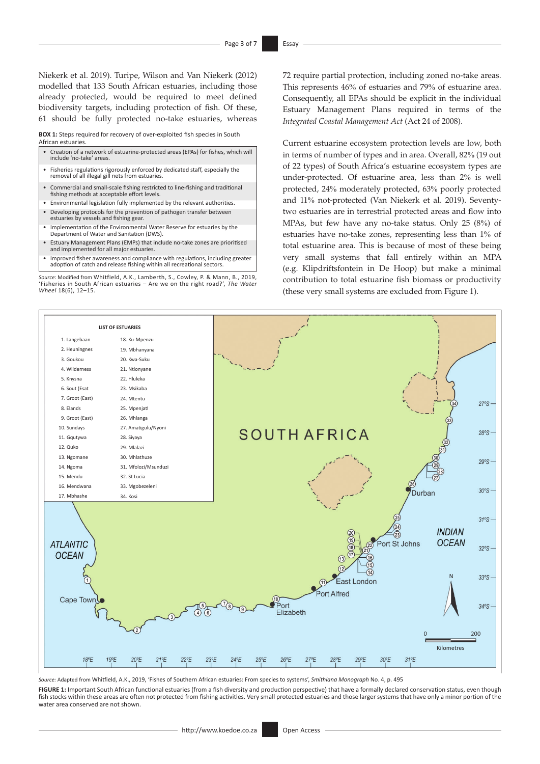Niekerk et al. 2019). Turipe, Wilson and Van Niekerk (2012) modelled that 133 South African estuaries, including those already protected, would be required to meet defined biodiversity targets, including protection of fish. Of these, 61 should be fully protected no-take estuaries, whereas

**BOX 1:** Steps required for recovery of over-exploited fish species in South African estuaries.

- Creation of a network of estuarine-protected areas (EPAs) for fishes, which will include 'no-take' areas.
- Fisheries regulations rigorously enforced by dedicated staff, especially the removal of all illegal gill nets from estuaries.
- Commercial and small-scale fishing restricted to line-fishing and traditional fishing methods at acceptable effort levels.
- Environmental legislation fully implemented by the relevant authorities. • Developing protocols for the prevention of pathogen transfer between estuaries by vessels and fishing gear.
- Implementation of the Environmental Water Reserve for estuaries by the Department of Water and Sanitation (DWS).
- Estuary Management Plans (EMPs) that include no-take zones are prioritised and implemented for all major estuaries.
- Improved fisher awareness and compliance with regulations, including greater adoption of catch and release fishing within all recreational sectors.

*Source*: Modified from Whitfield, A.K., Lamberth, S., Cowley, P. & Mann, B., 2019, 'Fisheries in South African estuaries – Are we on the right road?', *The Water Wheel* 18(6), 12–15.

72 require partial protection, including zoned no-take areas. This represents 46% of estuaries and 79% of estuarine area. Consequently, all EPAs should be explicit in the individual Estuary Management Plans required in terms of the *Integrated Coastal Management Act* (Act 24 of 2008).

Current estuarine ecosystem protection levels are low, both in terms of number of types and in area. Overall, 82% (19 out of 22 types) of South Africa's estuarine ecosystem types are under-protected. Of estuarine area, less than 2% is well protected, 24% moderately protected, 63% poorly protected and 11% not-protected (Van Niekerk et al. 2019). Seventytwo estuaries are in terrestrial protected areas and flow into MPAs, but few have any no-take status. Only 25 (8%) of estuaries have no-take zones, representing less than 1% of total estuarine area. This is because of most of these being very small systems that fall entirely within an MPA (e.g. Klipdriftsfontein in De Hoop) but make a minimal contribution to total estuarine fish biomass or productivity (these very small systems are excluded from Figure 1).



*Source:* Adapted from Whitfield, A.K., 2019, 'Fishes of Southern African estuaries: From species to systems', *Smithiana Monograph* No. 4, p. 495

**FIGURE 1:** Important South African functional estuaries (from a fish diversity and production perspective) that have a formally declared conservation status, even though fish stocks within these areas are often not protected from fishing activities. Very small protected estuaries and those larger systems that have only a minor portion of the water area conserved are not shown.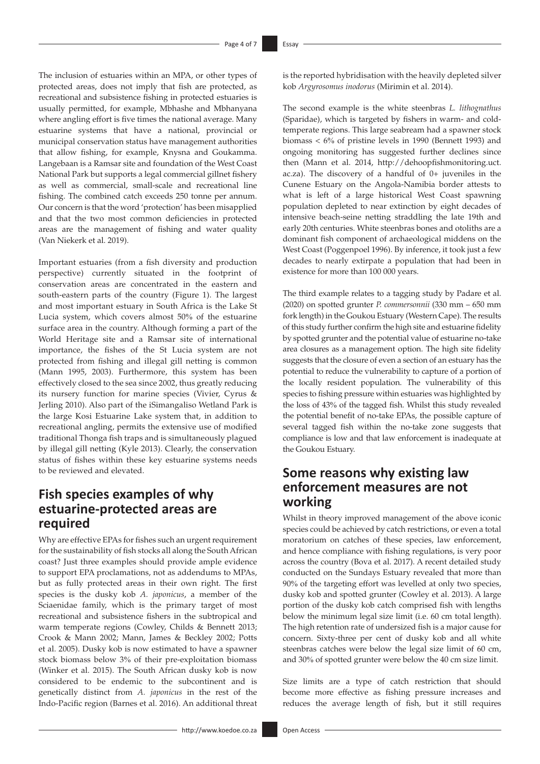The inclusion of estuaries within an MPA, or other types of protected areas, does not imply that fish are protected, as recreational and subsistence fishing in protected estuaries is usually permitted, for example, Mbhashe and Mbhanyana where angling effort is five times the national average. Many estuarine systems that have a national, provincial or municipal conservation status have management authorities that allow fishing, for example, Knysna and Goukamma. Langebaan is a Ramsar site and foundation of the West Coast National Park but supports a legal commercial gillnet fishery as well as commercial, small-scale and recreational line fishing. The combined catch exceeds 250 tonne per annum. Our concern is that the word 'protection' has been misapplied and that the two most common deficiencies in protected areas are the management of fishing and water quality (Van Niekerk et al. 2019).

Important estuaries (from a fish diversity and production perspective) currently situated in the footprint of conservation areas are concentrated in the eastern and south-eastern parts of the country (Figure 1). The largest and most important estuary in South Africa is the Lake St Lucia system, which covers almost 50% of the estuarine surface area in the country. Although forming a part of the World Heritage site and a Ramsar site of international importance, the fishes of the St Lucia system are not protected from fishing and illegal gill netting is common (Mann 1995, 2003). Furthermore, this system has been effectively closed to the sea since 2002, thus greatly reducing its nursery function for marine species (Vivier, Cyrus & Jerling 2010). Also part of the iSimangaliso Wetland Park is the large Kosi Estuarine Lake system that, in addition to recreational angling, permits the extensive use of modified traditional Thonga fish traps and is simultaneously plagued by illegal gill netting (Kyle 2013). Clearly, the conservation status of fishes within these key estuarine systems needs to be reviewed and elevated.

## **Fish species examples of why estuarine-protected areas are required**

Why are effective EPAs for fishes such an urgent requirement for the sustainability of fish stocks all along the South African coast? Just three examples should provide ample evidence to support EPA proclamations, not as addendums to MPAs, but as fully protected areas in their own right. The first species is the dusky kob *A. japonicus*, a member of the Sciaenidae family, which is the primary target of most recreational and subsistence fishers in the subtropical and warm temperate regions (Cowley, Childs & Bennett 2013; Crook & Mann 2002; Mann, James & Beckley 2002; Potts et al. 2005). Dusky kob is now estimated to have a spawner stock biomass below 3% of their pre-exploitation biomass (Winker et al. 2015). The South African dusky kob is now considered to be endemic to the subcontinent and is genetically distinct from *A. japonicus* in the rest of the Indo-Pacific region (Barnes et al. 2016). An additional threat is the reported hybridisation with the heavily depleted silver kob *Argyrosomus inodorus* (Mirimin et al. 2014).

The second example is the white steenbras *L. lithognathus* (Sparidae), which is targeted by fishers in warm- and coldtemperate regions. This large seabream had a spawner stock biomass < 6% of pristine levels in 1990 (Bennett 1993) and ongoing monitoring has suggested further declines since then (Mann et al. 2014, [http://dehoopfishmonitoring.uct.](http://dehoopfishmonitoring.uct.ac.za) [ac.za\)](http://dehoopfishmonitoring.uct.ac.za). The discovery of a handful of 0+ juveniles in the Cunene Estuary on the Angola-Namibia border attests to what is left of a large historical West Coast spawning population depleted to near extinction by eight decades of intensive beach-seine netting straddling the late 19th and early 20th centuries. White steenbras bones and otoliths are a dominant fish component of archaeological middens on the West Coast (Poggenpoel 1996). By inference, it took just a few decades to nearly extirpate a population that had been in existence for more than 100 000 years.

The third example relates to a tagging study by Padare et al. (2020) on spotted grunter *P. commersonnii* (330 mm – 650 mm fork length) in the Goukou Estuary (Western Cape). The results of this study further confirm the high site and estuarine fidelity by spotted grunter and the potential value of estuarine no-take area closures as a management option. The high site fidelity suggests that the closure of even a section of an estuary has the potential to reduce the vulnerability to capture of a portion of the locally resident population. The vulnerability of this species to fishing pressure within estuaries was highlighted by the loss of 43% of the tagged fish. Whilst this study revealed the potential benefit of no-take EPAs, the possible capture of several tagged fish within the no-take zone suggests that compliance is low and that law enforcement is inadequate at the Goukou Estuary.

## **Some reasons why existing law enforcement measures are not working**

Whilst in theory improved management of the above iconic species could be achieved by catch restrictions, or even a total moratorium on catches of these species, law enforcement, and hence compliance with fishing regulations, is very poor across the country (Bova et al. 2017). A recent detailed study conducted on the Sundays Estuary revealed that more than 90% of the targeting effort was levelled at only two species, dusky kob and spotted grunter (Cowley et al. 2013). A large portion of the dusky kob catch comprised fish with lengths below the minimum legal size limit (i.e. 60 cm total length). The high retention rate of undersized fish is a major cause for concern. Sixty-three per cent of dusky kob and all white steenbras catches were below the legal size limit of 60 cm, and 30% of spotted grunter were below the 40 cm size limit.

Size limits are a type of catch restriction that should become more effective as fishing pressure increases and reduces the average length of fish, but it still requires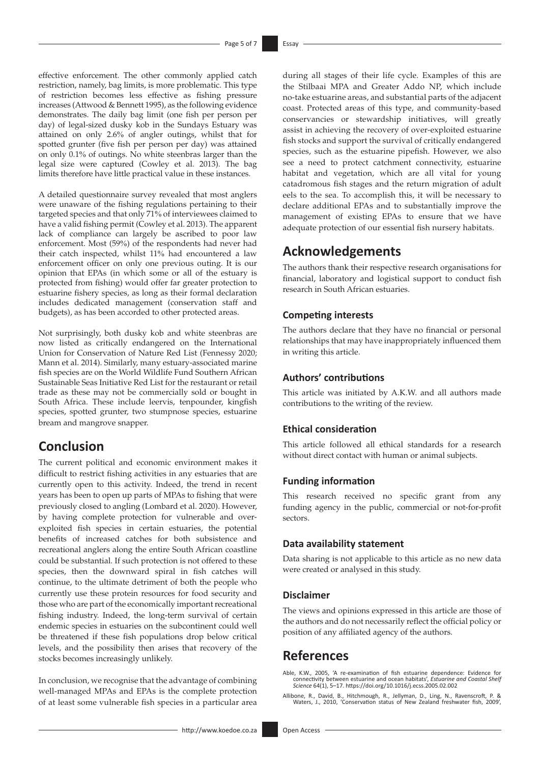effective enforcement. The other commonly applied catch restriction, namely, bag limits, is more problematic. This type of restriction becomes less effective as fishing pressure increases (Attwood & Bennett 1995), as the following evidence demonstrates. The daily bag limit (one fish per person per day) of legal-sized dusky kob in the Sundays Estuary was attained on only 2.6% of angler outings, whilst that for spotted grunter (five fish per person per day) was attained on only 0.1% of outings. No white steenbras larger than the legal size were captured (Cowley et al. 2013). The bag limits therefore have little practical value in these instances.

A detailed questionnaire survey revealed that most anglers were unaware of the fishing regulations pertaining to their targeted species and that only 71% of interviewees claimed to have a valid fishing permit (Cowley et al. 2013). The apparent lack of compliance can largely be ascribed to poor law enforcement. Most (59%) of the respondents had never had their catch inspected, whilst 11% had encountered a law enforcement officer on only one previous outing. It is our opinion that EPAs (in which some or all of the estuary is protected from fishing) would offer far greater protection to estuarine fishery species, as long as their formal declaration includes dedicated management (conservation staff and budgets), as has been accorded to other protected areas.

Not surprisingly, both dusky kob and white steenbras are now listed as critically endangered on the International Union for Conservation of Nature Red List (Fennessy 2020; Mann et al. 2014). Similarly, many estuary-associated marine fish species are on the World Wildlife Fund Southern African Sustainable Seas Initiative Red List for the restaurant or retail trade as these may not be commercially sold or bought in South Africa. These include leervis, tenpounder, kingfish species, spotted grunter, two stumpnose species, estuarine bream and mangrove snapper.

## **Conclusion**

The current political and economic environment makes it difficult to restrict fishing activities in any estuaries that are currently open to this activity. Indeed, the trend in recent years has been to open up parts of MPAs to fishing that were previously closed to angling (Lombard et al. 2020). However, by having complete protection for vulnerable and overexploited fish species in certain estuaries, the potential benefits of increased catches for both subsistence and recreational anglers along the entire South African coastline could be substantial. If such protection is not offered to these species, then the downward spiral in fish catches will continue, to the ultimate detriment of both the people who currently use these protein resources for food security and those who are part of the economically important recreational fishing industry. Indeed, the long-term survival of certain endemic species in estuaries on the subcontinent could well be threatened if these fish populations drop below critical levels, and the possibility then arises that recovery of the stocks becomes increasingly unlikely.

In conclusion, we recognise that the advantage of combining well-managed MPAs and EPAs is the complete protection of at least some vulnerable fish species in a particular area

during all stages of their life cycle. Examples of this are the Stilbaai MPA and Greater Addo NP, which include no-take estuarine areas, and substantial parts of the adjacent coast. Protected areas of this type, and community-based conservancies or stewardship initiatives, will greatly assist in achieving the recovery of over-exploited estuarine fish stocks and support the survival of critically endangered species, such as the estuarine pipefish. However, we also see a need to protect catchment connectivity, estuarine habitat and vegetation, which are all vital for young catadromous fish stages and the return migration of adult eels to the sea. To accomplish this, it will be necessary to declare additional EPAs and to substantially improve the management of existing EPAs to ensure that we have adequate protection of our essential fish nursery habitats.

## **Acknowledgements**

The authors thank their respective research organisations for financial, laboratory and logistical support to conduct fish research in South African estuaries.

### **Competing interests**

The authors declare that they have no financial or personal relationships that may have inappropriately influenced them in writing this article.

### **Authors' contributions**

This article was initiated by A.K.W. and all authors made contributions to the writing of the review.

### **Ethical consideration**

This article followed all ethical standards for a research without direct contact with human or animal subjects.

#### **Funding information**

This research received no specific grant from any funding agency in the public, commercial or not-for-profit sectors.

#### **Data availability statement**

Data sharing is not applicable to this article as no new data were created or analysed in this study.

#### **Disclaimer**

The views and opinions expressed in this article are those of the authors and do not necessarily reflect the official policy or position of any affiliated agency of the authors.

## **References**

Able, K.W., 2005, 'A re-examination of fish estuarine dependence: Evidence for connectivity between estuarine and ocean habitats', *Estuarine and Coastal Shelf Science* 64(1), 5–17.<https://doi.org/10.1016/j.ecss.2005.02.002>

Allibone, R., David, B., Hitchmough, R., Jellyman, D., Ling, N., Ravenscroft, P. & Waters, J., 2010, 'Conservation status of New Zealand freshwater fish, 2009',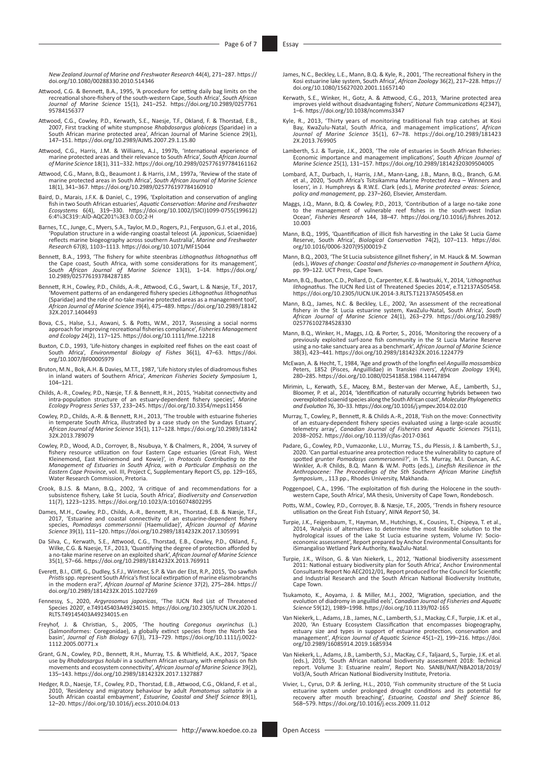*New Zealand Journal of Marine and Freshwater Research* 44(4), 271–287. [https://](https://doi.org/10.1080/00288330.2010.514346) [doi.org/10.1080/00288330.2010.514346](https://doi.org/10.1080/00288330.2010.514346)

- Attwood, C.G. & Bennett, B.A., 1995, 'A procedure for setting daily bag limits on the recreational shore-fishery of the south-western Cape, South Africa', *South African Journal of Marine Science* 15(1), 241–252. [https://doi.org/10.2989/0257761](https://doi.org/10.2989/025776195784156377) [95784156377](https://doi.org/10.2989/025776195784156377)
- Attwood, C.G., Cowley, P.D., Kerwath, S.E., Naesje, T.F., Okland, F. & Thorstad, E.B.,<br>2007, First tracking of white stumpnose *Rhabdosargus globiceps* (Sparidae) in a<br>South African marine protected area', African Journal
- Attwood, C.G., Harris, J.M. & Williams, A.J., 1997b, 'International experience of marine protected areas and their relevance to South Africa', *South African Journal of Marine Science* 18(1), 311–332.<https://doi.org/10.2989/025776197784161162>
- Attwood, C.G., Mann, B.Q., Beaumont J. & Harris, J.M., 1997a, 'Review of the state of marine protected areas in South Africa', *South African Journal of Marine Science* 18(1), 341–367.<https://doi.org/10.2989/025776197784160910>
- Baird, D., Marais, J.F.K. & Daniel, C., 1996, 'Exploitation and conservation of angling fish in two South African estuaries', *Aquatic Conservation: Marine and Freshwater Ecosystems* 6(4), 319–330. [https://doi.org/10.1002/\(SICI\)1099-0755\(199612\)](https://doi.org/10.1002/(SICI)1099-0755(199612)6:4%3C319::AID-AQC201%3E3.0.CO;2-H) 6:4%[3C319::AID-AQC201](https://doi.org/10.1002/(SICI)1099-0755(199612)6:4%3C319::AID-AQC201%3E3.0.CO;2-H)%3E3.0.CO;2-H
- Barnes, T.C., Junge, C., Myers, S.A., Taylor, M.D., Rogers, P.J., Ferguson, G.J. et al., 2016, 'Population structure in a wide-ranging coastal teleost (*A. japonicus*, Sciaenidae) reflects marine biogeography across southern Australia', *Marine and Freshwater Research* 67(8), 1103–1113.<https://doi.org/10.1071/MF15044>
- Bennett, B.A., 1993, 'The fishery for white steenbras *Lithognathus lithognathus* off the Cape coast, South Africa, with some considerations for its management', *South African Journal of Marine Science* 13(1), 1–14. [https://doi.org/](https://doi.org/10.2989/025776193784287185) [10.2989/025776193784287185](https://doi.org/10.2989/025776193784287185)
- Bennett, R.H., Cowley, P.D., Childs, A.-R., Attwood, C.G., Swart, L. & Næsje, T.F., 2017, 'Movement patterns of an endangered fishery species *Lithognathus lithognathus* (Sparidae) and the role of no-take marine protected areas as a management tool', *African Journal of Marine Science* 39(4), 475–489. [https://doi.org/10.2989/18142](https://doi.org/10.2989/1814232X.2017.1404493) [32X.2017.1404493](https://doi.org/10.2989/1814232X.2017.1404493)
- Bova, C.S., Halse, S.J., Aswani, S. & Potts, W.M., 2017, 'Assessing a social norms approach for improving recreational fisheries compliance', Fisheries Management and Ecology 24(2), 117–125. https://doi.org/10.1111/fme.122
- Buxton, C.D., 1993, 'Life-history changes in exploited reef fishes on the east coast of South Africa', *Environmental Biology of Fishes* 36(1), 47–63. [https://doi.](https://doi.org/10.1007/BF00005979) [org/10.1007/BF00005979](https://doi.org/10.1007/BF00005979)
- Bruton, M.N., Bok, A.H. & Davies, M.T.T., 1987, 'Life history styles of diadromous fishes in inland waters of Southern Africa', *American Fisheries Society Symposium* 1,  $104 - 121$
- Childs, A.-R., Cowley, P.D., Næsje, T.F. & Bennett, R.H., 2015, 'Habitat connectivity and intra-population structure of an estuary-dependent fishery species', *Marine Ecology Progress Series* 537, 233–245.<https://doi.org/10.3354/meps11456>
- Cowley, P.D., Childs, A.-R. & Bennett, R.H., 2013, 'The trouble with estuarine fisheries in temperate South Africa, illustrated by a case study on the Sundays Estuary', *African Journal of Marine Science* 35(1), 117–128. [https://doi.org/10.2989/18142](https://doi.org/10.2989/1814232X.2013.789079) [32X.2013.789079](https://doi.org/10.2989/1814232X.2013.789079)
- Cowley, P.D., Wood, A.D., Corroyer, B., Nsubuya, Y. & Chalmers, R., 2004, 'A survey of fishery resource utilization on four Eastern Cape estuaries (Great Fish, West<br>Kleinemond, East Kleinemond and Kowie)', in *Protocols Contributing to the*<br>Management of Estuaries in South Africa, with a Particular Emphasis Water Research Commission, Pretoria.
- Crook, B.J.S. & Mann, B.Q., 2002, 'A critique of and recommendations for a subsistence fishery, Lake St Lucia, South Africa', *Biodiversity and Conservation* 11(7), 1223–1235. <https://doi.org/10.1023/A:1016074802295>
- Dames, M.H., Cowley, P.D., Childs, A.-R., Bennett, R.H., Thorstad, E.B. & Næsje, T.F., 2017, 'Estuarine and coastal connectivity of an estuarine-dependent fishery species, *Pomadasy commersonnii* (Haemulidae)', *African Jo*
- Da Silva, C., Kerwath, S.E., Attwood, C.G., Thorstad, E.B., Cowley, P.D., Okland, F., Wilke, C.G. & Naesje, T.F., 2013, 'Quantifying the degree of protection afforded by a no-take marine reserve on an exploited shark', Afr
- Everett, B.I., Cliff, G., Dudley, S.F.J., Wintner, S.P. & Van der Elst, R.P., 2015, 'Do sawfish *Pristis* spp. represent South Africa's first local extirpation of marine elasmobranchs in the modern era?', *African Journal of Marine Science* 37(2), 275–284. [https://](https://doi.org/10.2989/1814232X.2015.1027269) [doi.org/10.2989/1814232X.2015.1027269](https://doi.org/10.2989/1814232X.2015.1027269)
- Fennessy, S., 2020, *Argyrosomus japonicas*, 'The IUCN Red List of Threatened Species 2020', e.T49145403A49234015. [https://doi.org/10.2305/IUCN.UK.2020-1.](https://doi.org/10.2305/IUCN.UK.2020-1.RLTS.T49145403A49234015.en) [RLTS.T49145403A49234015.en](https://doi.org/10.2305/IUCN.UK.2020-1.RLTS.T49145403A49234015.en)
- Freyhof, J. & Christian, S., 2005, 'The houting Coregonus oxyrinchus (L.)<br>Salmoniformes: Coregonidae), a globally extinct species from the North Sea<br>basin', Journal of Fish Biology 67(3), 713–729. https://doi.org/10.1111/j [1112.2005.00771.x](https://doi.org/10.1111/j.0022-1112.2005.00771.x)
- Grant, G.N., Cowley, P.D., Bennett, R.H., Murray, T.S. & Whitfield, A.K., 2017, 'Space<br>use by *Rhabdosargus holubi* in a southern African estuary, with emphasis on fish<br>movements and ecosystem connectivity', African Journa 135–143. <https://doi.org/10.2989/1814232X.2017.1327887>
- Hedger, R.D., Naesje, T.F., Cowley, P.D., Thorstad, E.B., Attwood, C.G., Okland, F. et al.,<br>2010, 'Residency and migratory behaviour by adult *Pomatomus saltatrix* in a<br>South African coastal embayment', *Estuarine, Coastal*
- James, N.C., Beckley, L.E., Mann, B.Q. & Kyle, R., 2001, 'The recreational fishery in the Kosi estuarine lake system, South Africa', *African Zoology* 36(2), 217–228. [https://](https://doi.org/10.1080/15627020.2001.11657140) [doi.org/10.1080/15627020.2001.11657140](https://doi.org/10.1080/15627020.2001.11657140)
- Kerwath, S.E., Winker, H., Gotz, A. & Attwood, C.G., 2013, 'Marine protected area improves yield without disadvantaging fishers', *Nature Communications* 4(2347), 1–6.<https://doi.org/10.1038/ncomms3347>
- Kyle, R., 2013, 'Thirty years of monitoring traditional fish trap catches at Kosi<br>Bay, KwaZulu-Natal, South Africa, and management implications', African<br>Journal of Marine Science 35(1), 67–78. https://doi.org/10.2989/1814 [2X.2013.769905](https://doi.org/10.2989/1814232X.2013.769905)
- Lamberth, S.J. & Turpie, J.K., 2003, 'The role of estuaries in South African fisheries:<br>Economic importance and management implications', South African Journal of<br>Marine Science 25(1), 131–157. https://doi.org/10.2989/1814
- Lombard, A.T., Durbach, I., Harris, J.M., Mann-Lang, J.B., Mann, B.Q., Branch, G.M.<br>et al., 2020, 'South Africa's Tsitsikamma Marine Protected Area Winners and<br>losers', in J. Humphreys & R.W.E. Clark (eds.), Marine prote
- Maggs, J.Q., Mann, B.Q. & Cowley, P.D., 2013, 'Contribution of a large no-take zone<br>to the management of vulnerable reef fishes in the south-west Indian<br>Ocean', Fisheries Research 144, 38–47. https://doi.org/10.1016/j.fish [10.003](https://doi.org/10.1016/j.fishres.2012.10.003)
- Mann, B.Q., 1995, 'Quantification of illicit fish harvesting in the Lake St Lucia Game Reserve, South Africa', *Biological Conservation* 74(2), 107–113. [https://doi.](https://doi.org/10.1016/0006-3207(95)00019-Z) [org/10.1016/0006-3207\(95\)00019-Z](https://doi.org/10.1016/0006-3207(95)00019-Z)
- Mann, B.Q., 2003, 'The St Lucia subsistence gillnet fishery', in M. Hauck & M. Sowman (eds.), *Waves of change: Coastal and fisheries co-management in Southern Africa*, pp. 99–122. UCT Press, Cape Town.
- Mann, B.Q., Buxton, C.D., Pollard, D., Carpenter, K.E. & Iwatsuki, Y., 2014, '*Lithognathus lithognathus.* The IUCN Red List of Threatened Species 2014', e.T12137A505458.<br><https://doi.org/10.2305/IUCN.UK.2014-3.RLTS.T12137A505458.en>
- Mann, B.Q., James, N.C. & Beckley, L.E., 2002, 'An assessment of the recreational fishery in the St Lucia estuarine system, KwaZulu-Natal, South Africa', *South African Journal of Marine Science* 24(1), 263–279. [https://doi.org/10.2989/](https://doi.org/10.2989/025776102784528330) [025776102784528330](https://doi.org/10.2989/025776102784528330)
- Mann, B.Q., Winker, H., Maggs, J.Q. & Porter, S., 2016, 'Monitoring the recovery of a previously exploited surf-zone fish community in the St Lucia Marine Reserve using a no-take sanctuary area as a benchmark', *African Journal of Marine Science* 38(3), 423–441.<https://doi.org/10.2989/1814232X.2016.1224779>
- McEwan, A. & Hecht, T., 1984, 'Age and growth of the longfin eel *Anguilla mossambica* Peters, 1852 (Pisces, Anguillidae) in Transkei rivers', *African Zoology* 19(4), 280–285.<https://doi.org/10.1080/02541858.1984.11447894>
- Mirimin, L., Kerwath, S.E., Macey, B.M., Bester-van der Merwe, A.E., Lamberth, S.J.,<br>Bloomer, P. et al., 2014, 'Identification of naturally occurring hybrids between two<br>overexploited sciaenid species along the South Afric *and Evolution* 76, 30–33.<https://doi.org/10.1016/j.ympev.2014.02.010>
- Murray, T., Cowley, P., Bennett, R. & Childs A.-R., 2018, 'Fish on the move: Connectivity of an estuary-dependent fishery species evaluated using a large-scale acoustic telemetry array', *Canadian Journal of Fisheries and Aquatic Sciences* 75(11), 2038–2052.<https://doi.org/10.1139/cjfas-2017-0361>
- Padare, G., Cowley, P.D., Vumazonke, L.U., Murray, T.S., du Plessis, J. & Lamberth, S.J., 2020. 'Can partial estuarine area protection reduce the vulnerability to capture of spotted grunter *Pomadasys commersonnii?'*, in T.S. Murray, M.I. Duncan, A.C. Winkler, A.-R. Childs, B.Q. Mann & W.M. Potts (eds.), *Linef*
- Poggenpoel, C.A., 1996. 'The exploitation of fish during the Holocene in the south-western Cape, South Africa', MA thesis, University of Cape Town, Rondebosch.
- Potts, W.M., Cowley, P.D., Corroyer, B. & Næsje, T.F., 2005, 'Trends in fishery resource utilisation on the Great Fish Estuary', *NINA Report* 50, 34.
- Turpie, J.K., Feigenbaum, T., Hayman, M., Hutchings, K., Cousins, T., Chipeya, T. et al., 2014, 'Analysis of alternatives to determine the most feasible solution to the hydrological issues of the Lake St Lucia estuarine system, Volume IV: Socioeconomic assessment', Report prepared by Anchor Environmental Consultants for iSimangaliso Wetland Park Authority, KwaZulu-Natal.
- Turpie, J.K., Wilson, G. & Van Niekerk, L., 2012, 'National biodiversity assessment 2011: National estuary biodiversity plan for South Africa', Anchor Environmental<br>Consultants Report No AEC2012/01, Report produced for the Council for Scientific<br>and Industrial Research and the South African National Biodi Cape Town.
- Tsukamoto, K., Aoyama, J. & Miller, M.J., 2002, 'Migration, speciation, and the evolution of diadromy in anguillid eels', *Canadian Journal of Fisheries and Aquatic Science* 59(12), 1989–1998. <https://doi.org/10.1139/f02-165>
- Van Niekerk, L., Adams, J.B., James, N.C., Lamberth, S.J., Mackay, C.F., Turpie, J.K. et al., 2020, 'An Estuary Ecosystem Classification that encompasses biogeography, estuary size and types in support of estuarine protection, conservation and management', *African Journal of Aquatic Science* 45(1–2), 199–216. [https://doi.](https://doi.org/10.2989/16085914.2019.1685934) [org/10.2989/16085914.2019.1685934](https://doi.org/10.2989/16085914.2019.1685934)
- Van Niekerk, L., Adams, J.B., Lamberth, S.J., MacKay, C.F., Taljaard, S., Turpie, J.K. et al. (eds.), 2019, 'South African national biodiversity assessment 2018: Technical report. Volume 3: Estuarine realm', Report No. SANBI/NAT/NBA2018/2019/ Vol3/A, South African National Biodiversity Institute, Pretoria.
- Vivier, L., Cyrus, D.P. & Jerling, H.L., 2010, 'Fish community structure of the St Lucia<br>estuarine system under prolonged drought conditions and its potential for<br>recovery after mouth breaching', Estuarine, Coastal and She